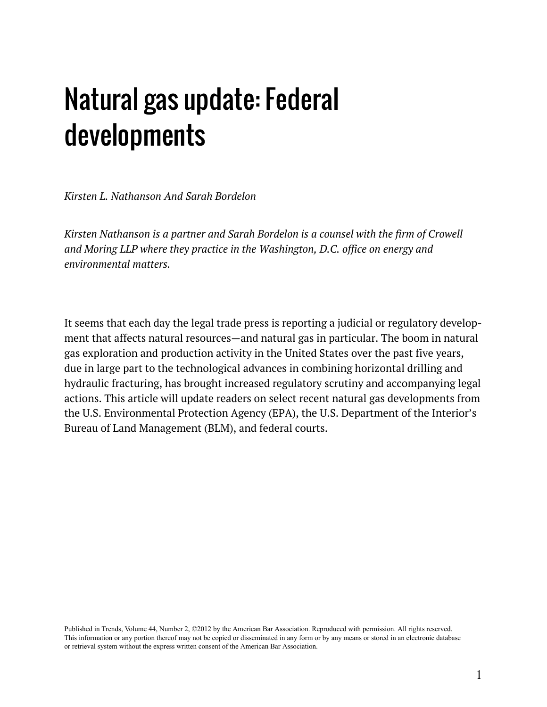# Natural gas update: Federal developments

*Kirsten L. Nathanson And Sarah Bordelon* 

*[Kirsten Nathanson](http://www.americanbar.org/cutomerprofile.cut=00641919.html?refer=/directorie/people_directorie/people_directory_member_landing/people_directory_member.html) is a partner and [Sarah Bordelon](http://www.americanbar.org/cutomerprofile.cut=01704307.html?refer=/directorie/people_directorie/people_directory_member_landing/people_directory_member.html) is a counsel with the firm of Crowell and Moring LLP where they practice in the Washington, D.C. office on energy and environmental matters.* 

It seems that each day the legal trade press is reporting a judicial or regulatory development that affects natural resources—and natural gas in particular. The boom in natural gas exploration and production activity in the United States over the past five years, due in large part to the technological advances in combining horizontal drilling and hydraulic fracturing, has brought increased regulatory scrutiny and accompanying legal actions. This article will update readers on select recent natural gas developments from the U.S. Environmental Protection Agency (EPA), the U.S. Department of the Interior's Bureau of Land Management (BLM), and federal courts.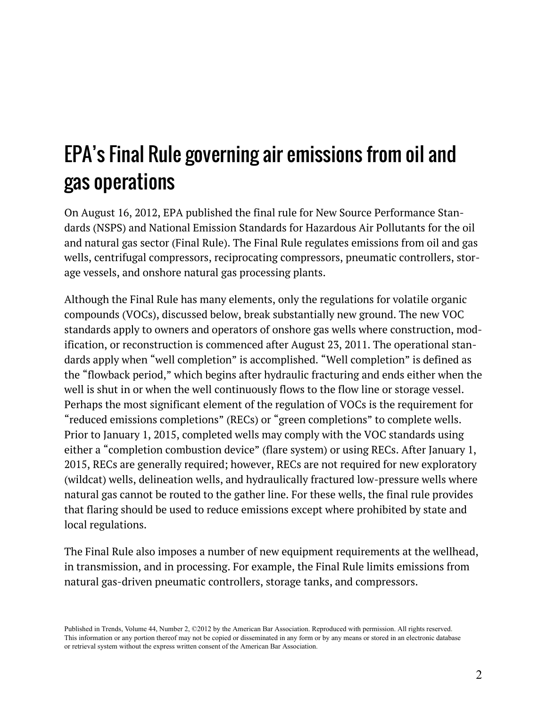## EPA's Final Rule governing air emissions from oil and gas operations

On August 16, 2012, EPA published the final rule for New Source Performance Standards (NSPS) and National Emission Standards for Hazardous Air Pollutants for the oil and natural gas sector ([Final Rule\)](http://www.gpo.gov/fdy/pkg/FR-2012-08-16/pdf/2012-16806.pdf). The Final Rule regulates emissions from oil and gas wells, centrifugal compressors, reciprocating compressors, pneumatic controllers, storage vessels, and onshore natural gas processing plants.

Although the Final Rule has many elements, only the regulations for volatile organic compounds (VOCs), discussed below, break substantially new ground. The new VOC standards apply to owners and operators of onshore gas wells where construction, modification, or reconstruction is commenced after August 23, 2011. The operational standards apply when "well completion" is accomplished. "Well completion" is defined as the "flowback period," which begins after hydraulic fracturing and ends either when the well is shut in or when the well continuously flows to the flow line or storage vessel. Perhaps the most significant element of the regulation of VOCs is the requirement for "reduced emissions completions" (RECs) or "green completions" to complete wells. Prior to January 1, 2015, completed wells may comply with the VOC standards using either a "completion combustion device" (flare system) or using RECs. After January 1, 2015, RECs are generally required; however, RECs are not required for new exploratory (wildcat) wells, delineation wells, and hydraulically fractured low-pressure wells where natural gas cannot be routed to the gather line. For these wells, the final rule provides that flaring should be used to reduce emissions except where prohibited by state and local regulations.

The Final Rule also imposes a number of new equipment requirements at the wellhead, in transmission, and in processing. For example, the Final Rule limits emissions from natural gas-driven pneumatic controllers, storage tanks, and compressors.

Published in Trends, Volume 44, Number 2, ©2012 by the American Bar Association. Reproduced with permission. All rights reserved. This information or any portion thereof may not be copied or disseminated in any form or by any means or stored in an electronic database or retrieval system without the express written consent of the American Bar Association.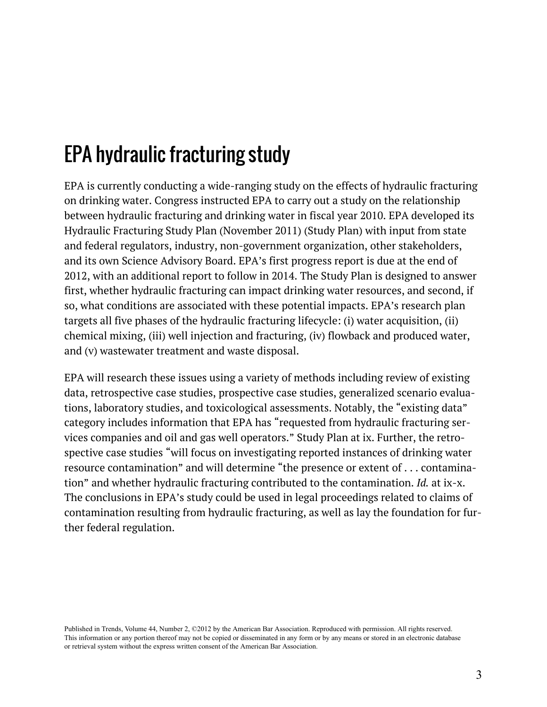# EPA hydraulic fracturing study

EPA is currently conducting a wide-ranging study on the effects of hydraulic fracturing on drinking water. Congress instructed EPA to carry out a study on the relationship between hydraulic fracturing and drinking water in fiscal year 2010. EPA developed its [Hydraulic Fracturing Study Plan](http://www.epa.gov/hftudy/) (November 2011) (Study Plan) with input from state and federal regulators, industry, non-government organization, other stakeholders, and its own Science Advisory Board. EPA's first progress report is due at the end of 2012, with an additional report to follow in 2014. The Study Plan is designed to answer first, whether hydraulic fracturing can impact drinking water resources, and second, if so, what conditions are associated with these potential impacts. EPA's research plan targets all five phases of the hydraulic fracturing lifecycle: (i) water acquisition, (ii) chemical mixing, (iii) well injection and fracturing, (iv) flowback and produced water, and (v) wastewater treatment and waste disposal.

EPA will research these issues using a variety of methods including review of existing data, retrospective case studies, prospective case studies, generalized scenario evaluations, laboratory studies, and toxicological assessments. Notably, the "existing data" category includes information that EPA has "requested from hydraulic fracturing services companies and oil and gas well operators." Study Plan at ix. Further, the retrospective case studies "will focus on investigating reported instances of drinking water resource contamination" and will determine "the presence or extent of . . . contamination" and whether hydraulic fracturing contributed to the contamination. *Id.* at ix-x. The conclusions in EPA's study could be used in legal proceedings related to claims of contamination resulting from hydraulic fracturing, as well as lay the foundation for further federal regulation.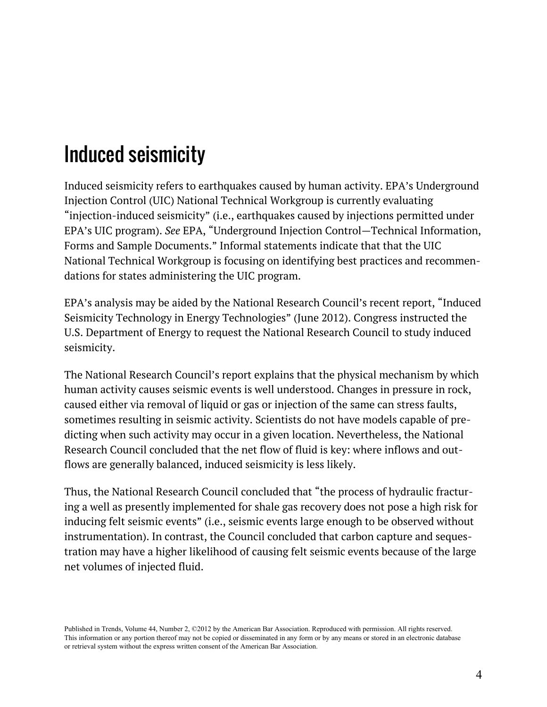# Induced seismicity

Induced seismicity refers to earthquakes caused by human activity. EPA's Underground Injection Control (UIC) National Technical Workgroup is currently evaluating "injection-induced seismicity" (i.e., earthquakes caused by injections permitted under EPA's UIC program). *See* EPA, ["Underground Injection Control—Technical Information,](http://www.epa.gov/r5water/uic/techdoc.htm)  [Forms and Sample Documents.](http://www.epa.gov/r5water/uic/techdoc.htm)" Informal statements indicate that that the UIC National Technical Workgroup is focusing on identifying best practices and recommendations for states administering the UIC program.

EPA's analysis may be aided by the National Research Council's recent report, "[Induced](http://www.nap.edu/catalogue.php?record_id=13355)  [Seismicity Technology in Energy Technologies](http://www.nap.edu/catalogue.php?record_id=13355)" (June 2012). Congress instructed the U.S. Department of Energy to request the National Research Council to study induced seismicity.

The National Research Council's report explains that the physical mechanism by which human activity causes seismic events is well understood. Changes in pressure in rock, caused either via removal of liquid or gas or injection of the same can stress faults, sometimes resulting in seismic activity. Scientists do not have models capable of predicting when such activity may occur in a given location. Nevertheless, the National Research Council concluded that the net flow of fluid is key: where inflows and outflows are generally balanced, induced seismicity is less likely.

Thus, the National Research Council concluded that "the process of hydraulic fracturing a well as presently implemented for shale gas recovery does not pose a high risk for inducing felt seismic events" (i.e., seismic events large enough to be observed without instrumentation). In contrast, the Council concluded that carbon capture and sequestration may have a higher likelihood of causing felt seismic events because of the large net volumes of injected fluid.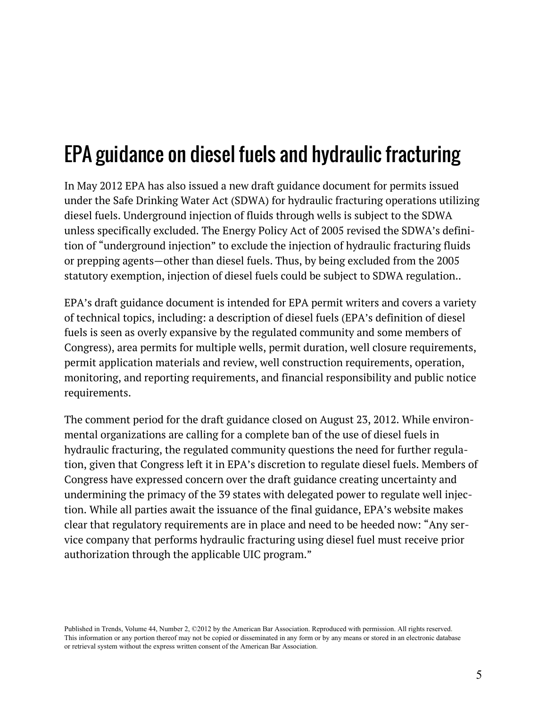# EPA guidance on diesel fuels and hydraulic fracturing

In May 2012 EPA has also issued a new [draft guidance document](http://water.epa.gov/type/groundwater/uic/cla2/hydraulicfracturing/upload/hfdieelfuelguidance508.pdf) for permits issued under the Safe Drinking Water Act (SDWA) for hydraulic fracturing operations utilizing diesel fuels. Underground injection of fluids through wells is subject to the SDWA unless specifically excluded. The Energy Policy Act of 2005 revised the SDWA's definition of "underground injection" to exclude the injection of hydraulic fracturing fluids or prepping agents—other than diesel fuels. Thus, by being excluded from the 2005 statutory exemption, injection of diesel fuels could be subject to SDWA regulation..

EPA's draft guidance document is intended for EPA permit writers and covers a variety of technical topics, including: a description of diesel fuels (EPA's definition of diesel fuels is seen as overly expansive by the regulated community and some members of Congress), area permits for multiple wells, permit duration, well closure requirements, permit application materials and review, well construction requirements, operation, monitoring, and reporting requirements, and financial responsibility and public notice requirements.

The comment period for the draft guidance closed on August 23, 2012. While environmental organizations are calling for a complete ban of the use of diesel fuels in hydraulic fracturing, the regulated community questions the need for further regulation, given that Congress left it in EPA's discretion to regulate diesel fuels. Members of Congress have expressed concern over the draft guidance creating uncertainty and undermining the primacy of the 39 states with delegated power to regulate well injection. While all parties await the issuance of the final guidance, [EPA's website](http://water.epa.gov/type/groundwater/uic/cla2/hydraulicfracturing/well_hydroreg.cfm) makes clear that regulatory requirements are in place and need to be heeded now: "Any service company that performs hydraulic fracturing using diesel fuel must receive prior authorization through the applicable UIC program."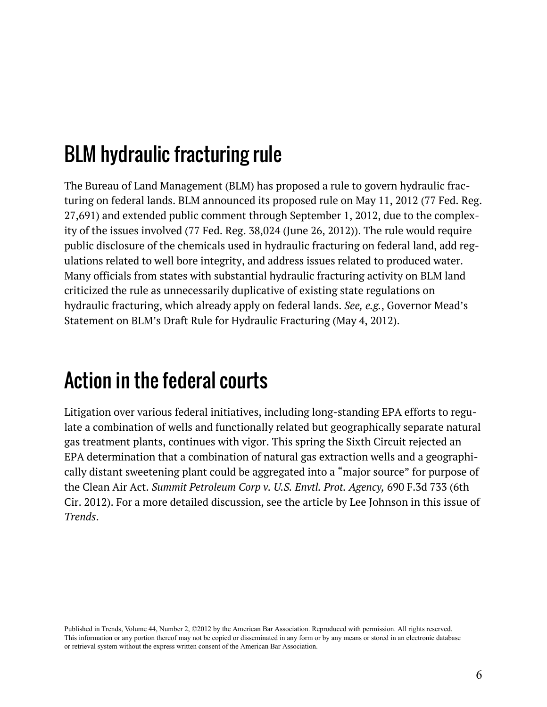## BLM hydraulic fracturing rule

The Bureau of Land Management (BLM) has proposed a rule to govern hydraulic fracturing on federal lands. BLM announced its [proposed rule](http://www.doi.gov/new/prereleae/loader.cfm?cModule=ecurity/getfile&pageid=293916) on May 11, 2012 (77 Fed. Reg. 27,691) and extended public comment through September 1, 2012, due to the complexity of the issues involved (77 Fed. Reg. 38,024 (June 26, 2012)). The rule would require public disclosure of the chemicals used in hydraulic fracturing on federal land, add regulations related to well bore integrity, and address issues related to produced water. Many officials from states with substantial hydraulic fracturing activity on BLM land criticized the rule as unnecessarily duplicative of existing state regulations on hydraulic fracturing, which already apply on federal lands. *See, e.g.*, [Governor Mead's](http://governor.wy.gov/media/preReleae/Page/GovernorMead)  [Statement](http://governor.wy.gov/media/preReleae/Page/GovernorMead) on BLM's Draft Rule for Hydraulic Fracturing (May 4, 2012).

#### Action in the federal courts

Litigation over various federal initiatives, including long-standing EPA efforts to regulate a combination of wells and functionally related but geographically separate natural gas treatment plants, continues with vigor. This spring the Sixth Circuit rejected an EPA determination that a combination of natural gas extraction wells and a geographically distant sweetening plant could be aggregated into a "major source" for purpose of the Clean Air Act. *Summit Petroleum Corp v. U.S. Envtl. Prot. Agency,* 690 F.3d 733 (6th Cir. 2012). For a more detailed discussion, [see the article by Lee Johnson](http://www.americanbar.org/publication/trend/2012_13/november_december/court_vacate_epa_adjacency_determination_under_clean_air_act.html) in this issue of *Trends*.

Published in Trends, Volume 44, Number 2, ©2012 by the American Bar Association. Reproduced with permission. All rights reserved. This information or any portion thereof may not be copied or disseminated in any form or by any means or stored in an electronic database or retrieval system without the express written consent of the American Bar Association.